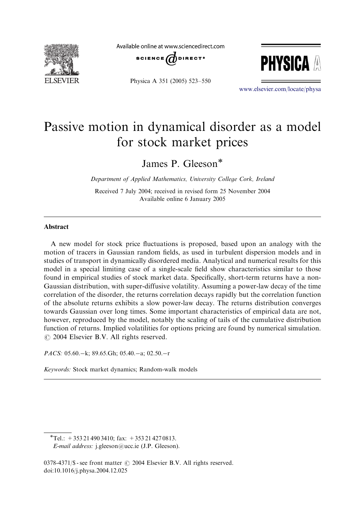

Available online at www.sciencedirect.com







<www.elsevier.com/locate/physa>

## Passive motion in dynamical disorder as a model for stock market prices

James P. Gleeson

Department of Applied Mathematics, University College Cork, Ireland

Received 7 July 2004; received in revised form 25 November 2004 Available online 6 January 2005

## Abstract

A new model for stock price fluctuations is proposed, based upon an analogy with the motion of tracers in Gaussian random fields, as used in turbulent dispersion models and in studies of transport in dynamically disordered media. Analytical and numerical results for this model in a special limiting case of a single-scale field show characteristics similar to those found in empirical studies of stock market data. Specifically, short-term returns have a non-Gaussian distribution, with super-diffusive volatility. Assuming a power-law decay of the time correlation of the disorder, the returns correlation decays rapidly but the correlation function of the absolute returns exhibits a slow power-law decay. The returns distribution converges towards Gaussian over long times. Some important characteristics of empirical data are not, however, reproduced by the model, notably the scaling of tails of the cumulative distribution function of returns. Implied volatilities for options pricing are found by numerical simulation.  $\odot$  2004 Elsevier B.V. All rights reserved.

PACS:  $05.60 - k$ ; 89.65.Gh; 05.40.-a; 02.50.-r

Keywords: Stock market dynamics; Random-walk models

 $T$ el.: +353 21 490 3410; fax: +353 21 427 0813. E-mail address: j.gleeson@ucc.ie (J.P. Gleeson).

 $0378-4371/\$ S - see front matter  $\odot$  2004 Elsevier B.V. All rights reserved. doi:10.1016/j.physa.2004.12.025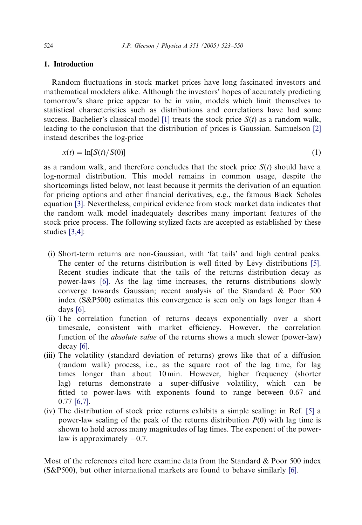## 1. Introduction

Random fluctuations in stock market prices have long fascinated investors and mathematical modelers alike. Although the investors' hopes of accurately predicting tomorrow's share price appear to be in vain, models which limit themselves to statistical characteristics such as distributions and correlations have had some success. Bachelier's classical model [\[1\]](#page--1-0) treats the stock price  $S(t)$  as a random walk, leading to the conclusion that the distribution of prices is Gaussian. Samuelson [\[2\]](#page--1-0) instead describes the log-price

$$
x(t) = \ln[S(t)/S(0)]\tag{1}
$$

as a random walk, and therefore concludes that the stock price  $S(t)$  should have a log-normal distribution. This model remains in common usage, despite the shortcomings listed below, not least because it permits the derivation of an equation for pricing options and other financial derivatives, e.g., the famous Black–Scholes equation [\[3\]](#page--1-0). Nevertheless, empirical evidence from stock market data indicates that the random walk model inadequately describes many important features of the stock price process. The following stylized facts are accepted as established by these studies [\[3,4\]](#page--1-0):

- (i) Short-term returns are non-Gaussian, with 'fat tails' and high central peaks. The center of the returns distribution is well fitted by Lévy distributions [\[5\].](#page--1-0) Recent studies indicate that the tails of the returns distribution decay as power-laws [\[6\]](#page--1-0). As the lag time increases, the returns distributions slowly converge towards Gaussian; recent analysis of the Standard & Poor 500 index (S&P500) estimates this convergence is seen only on lags longer than 4 days [\[6\].](#page--1-0)
- (ii) The correlation function of returns decays exponentially over a short timescale, consistent with market efficiency. However, the correlation function of the absolute value of the returns shows a much slower (power-law) decay [\[6\]](#page--1-0).
- (iii) The volatility (standard deviation of returns) grows like that of a diffusion (random walk) process, i.e., as the square root of the lag time, for lag times longer than about 10 min. However, higher frequency (shorter lag) returns demonstrate a super-diffusive volatility, which can be fitted to power-laws with exponents found to range between 0.67 and 0.77 [\[6,7\].](#page--1-0)
- (iv) The distribution of stock price returns exhibits a simple scaling: in Ref. [\[5\]](#page--1-0) a power-law scaling of the peak of the returns distribution  $P(0)$  with lag time is shown to hold across many magnitudes of lag times. The exponent of the powerlaw is approximately  $-0.7$ .

Most of the references cited here examine data from the Standard & Poor 500 index (S&P500), but other international markets are found to behave similarly [\[6\].](#page--1-0)